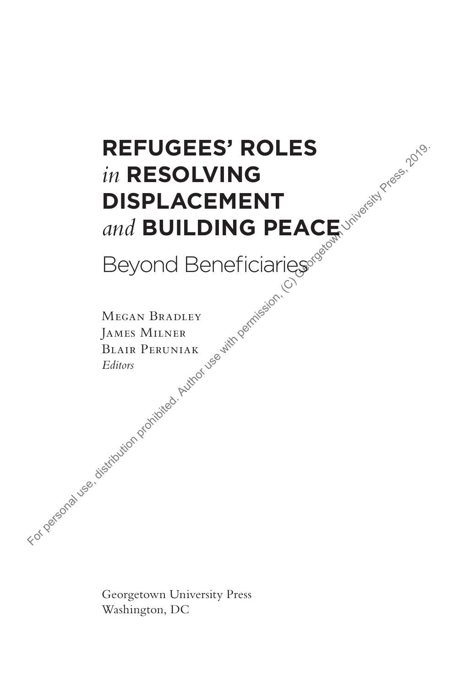# **Refugees' Roles**  *in* **Resolving Displacement**  *and* **Building Peace FOR PERSOLVING**<br>
In RESOLVING<br>
DISPLACEMENT<br>
and BUILDING PEACE with personal Bendicularies of the permission permission, (C) Georgetown University Press, 2019.<br>
MEGAN BRADLEY<br>
BALAIR PERUNIAR PEACE SOFTING PRESS, 2019.<br>

Beyond Beneficiaries

Megan Bradley James Milner Blair Peruniak *Editors*

Georgetown University Press Washington, DC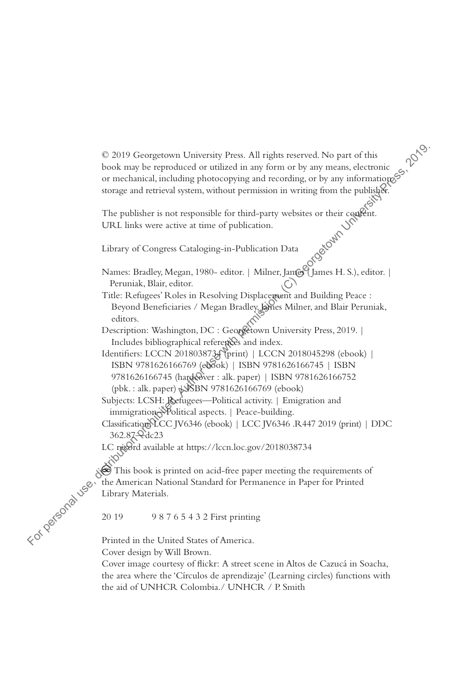© 2019 Georgetown University Press. All rights reserved. No part of this book may be reproduced or utilized in any form or by any means, electronic or mechanical, including photocopying and recording, or by any informations storage and retrieval system, without permission in writing from the publisher. C 2019 Georgetown University Press, All rights reserved. No part of this<br>
book my be reproduced or utilized in any form or by any means, electronic<br>
or mechanical, including photocopying and recording, or by any informati

The publisher is not responsible for third-party websites or their content.<br>URL links were active at time of publication.<br>Library of Congress Cataloging-in-P.1.1. URL links were active at time of publication.

Library of Congress Cataloging-in-Publication Data

Names: Bradley, Megan, 1980- editor. | Milner, Jan@YJames H. S.), editor. | Peruniak, Blair, editor.

Title: Refugees' Roles in Resolving Displacement and Building Peace : Beyond Beneficiaries / Megan Bradley, Lines Milner, and Blair Peruniak, editors.

Description: Washington, DC : Georgetown University Press, 2019. | Includes bibliographical references and index.

- Identifiers: LCCN 2018038734 (print) | LCCN 2018045298 (ebook) | ISBN 9781626166769 (ebook) | ISBN 9781626166745 | ISBN 9781626166745 (hardcover : alk. paper) | ISBN 9781626166752  $(pbk.:alk. paper) \bigtriangleup$  $BNN$  9781626166769 (ebook)
- Subjects: LCSH: Refugees—Political activity. | Emigration and immigration<sup>\*</sup>Political aspects. | Peace-building.

Classification: LCC JV6346 (ebook) | LCC JV6346 .R447 2019 (print) | DDC 362.87—dc23

LC record available at https://lccn.loc.gov/2018038734

This book is printed on acid-free paper meeting the requirements of the American National Standard for Permanence in Paper for Printed Library Materials.

20 19 9 8 7 6 5 4 3 2 First printing

Printed in the United States of America. Cover design by Will Brown.

Cover image courtesy of flickr: A street scene in Altos de Cazucá in Soacha, the area where the 'Círculos de aprendizaje' (Learning circles) functions with the aid of UNHCR Colombia./ UNHCR / P. Smith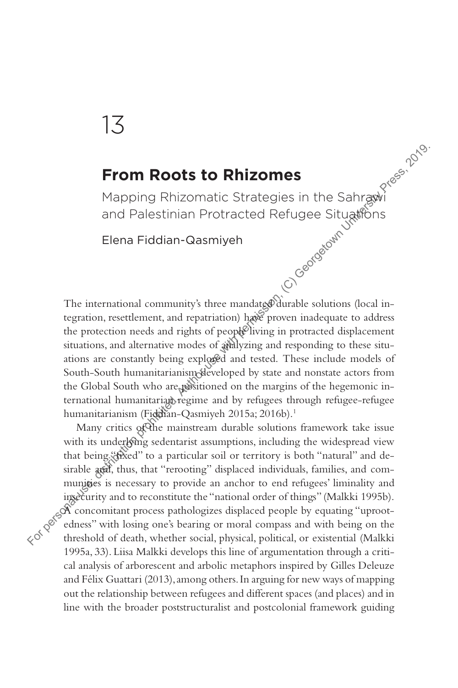## 13

## **From Roots to Rhizomes**

Mapping Rhizomatic Strategies in the Sahrawi and Palestinian Protracted Refugee Situations

Elena Fiddian-Qasmiyeh

The international community's three mandate will avail solutions (local integration, resettlement, and repatriation) have proven inadequate to address the protection needs and rights of people living in protracted displacement situations, and alternative modes of analyzing and responding to these situations are constantly being explored and tested. These include models of South-South humanitarianism developed by state and nonstate actors from the Global South who are positioned on the margins of the hegemonic international humanitariand regime and by refugees through refugee-refugee humanitarianism (Fiddian-Qasmiyeh 2015a; 2016b).<sup>1</sup> **From Roots to Rhizomes**<br>
Mapping Rhizomatic Strategies in the Sahrgawi<br>
and Palestinian Protracted Refugee Situations<br>
Elena Fiddian-Qasmiyeh<br>  $\begin{pmatrix} \cos^{\theta} & \sin^{\theta} & \cos^{\theta} \\ \cos^{\theta} & \sin^{\theta} & \cos^{\theta} \end{pmatrix}$ <br>
The international co

Many critics of the mainstream durable solutions framework take issue with its underlying sedentarist assumptions, including the widespread view that being "fixed" to a particular soil or territory is both "natural" and desirable and, thus, that "rerooting" displaced individuals, families, and communities is necessary to provide an anchor to end refugees' liminality and insecurity and to reconstitute the "national order of things" (Malkki 1995b). A concomitant process pathologizes displaced people by equating "uprootedness" with losing one's bearing or moral compass and with being on the threshold of death, whether social, physical, political, or existential (Malkki 1995a, 33). Liisa Malkki develops this line of argumentation through a critical analysis of arborescent and arbolic metaphors inspired by Gilles Deleuze and Félix Guattari (2013), among others. In arguing for new ways of mapping out the relationship between refugees and different spaces (and places) and in line with the broader poststructuralist and postcolonial framework guiding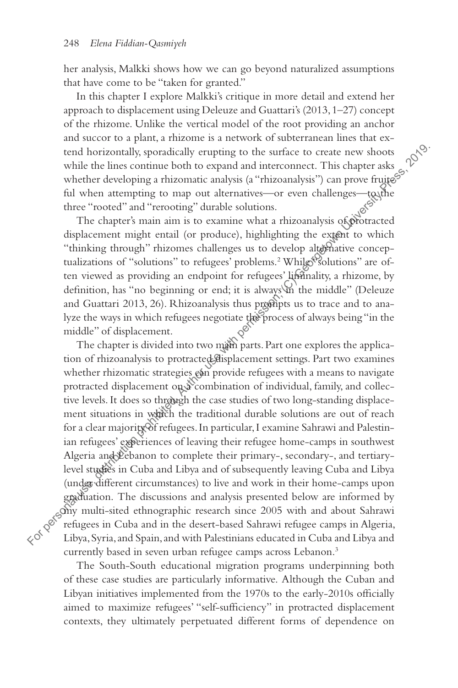her analysis, Malkki shows how we can go beyond naturalized assumptions that have come to be "taken for granted."

In this chapter I explore Malkki's critique in more detail and extend her approach to displacement using Deleuze and Guattari's (2013, 1–27) concept of the rhizome. Unlike the vertical model of the root providing an anchor and succor to a plant, a rhizome is a network of subterranean lines that extend horizontally, sporadically erupting to the surface to create new shoots while the lines continue both to expand and interconnect. This chapter asks whether developing a rhizomatic analysis (a "rhizoanalysis") can prove fruites ful when attempting to map out alternatives—or even challenges—to the three "rooted" and "rerooting" durable solutions.

The chapter's main aim is to examine what a rhizoanalysis of protracted displacement might entail (or produce), highlighting the extent to which "thinking through" rhizomes challenges us to develop alternative conceptualizations of "solutions" to refugees' problems.<sup>2</sup> While "solutions" are often viewed as providing an endpoint for refugees' liminality, a rhizome, by definition, has "no beginning or end; it is always in the middle" (Deleuze and Guattari 2013, 26). Rhizoanalysis thus prompts us to trace and to analyze the ways in which refugees negotiate the process of always being "in the middle" of displacement.

The chapter is divided into two main parts. Part one explores the application of rhizoanalysis to protracted displacement settings. Part two examines whether rhizomatic strategies can provide refugees with a means to navigate protracted displacement on a combination of individual, family, and collective levels. It does so through the case studies of two long-standing displacement situations in which the traditional durable solutions are out of reach for a clear majority of refugees. In particular, I examine Sahrawi and Palestinian refugees' experiences of leaving their refugee home-camps in southwest Algeria and Debanon to complete their primary-, secondary-, and tertiarylevel studies in Cuba and Libya and of subsequently leaving Cuba and Libya (under different circumstances) to live and work in their home-camps upon graduation. The discussions and analysis presented below are informed by my multi-sited ethnographic research since 2005 with and about Sahrawi refugees in Cuba and in the desert-based Sahrawi refugee camps in Algeria, tend horizontally, spondically erupting to the surface to create new shoots<br>whether developing a rhizonnatic analysis (a "rhizonalysis") can prove fruite<br><sup>26</sup><br>whether developing a rhizonnatic canaxies (a "rhizonalysis") ca currently based in seven urban refugee camps across Lebanon.<sup>3</sup>

The South-South educational migration programs underpinning both of these case studies are particularly informative. Although the Cuban and Libyan initiatives implemented from the 1970s to the early-2010s officially aimed to maximize refugees' "self-sufficiency" in protracted displacement contexts, they ultimately perpetuated different forms of dependence on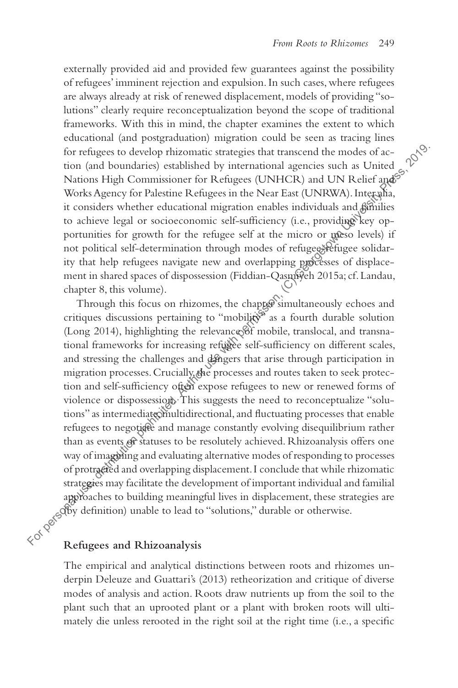externally provided aid and provided few guarantees against the possibility of refugees' imminent rejection and expulsion. In such cases, where refugees are always already at risk of renewed displacement, models of providing "solutions" clearly require reconceptualization beyond the scope of traditional frameworks. With this in mind, the chapter examines the extent to which educational (and postgraduation) migration could be seen as tracing lines for refugees to develop rhizomatic strategies that transcend the modes of action (and boundaries) established by international agencies such as United Nations High Commissioner for Refugees (UNHCR) and UN Relief and S Works Agency for Palestine Refugees in the Near East (UNRWA). Inter alia, it considers whether educational migration enables individuals and families to achieve legal or socioeconomic self-sufficiency (i.e., providing key opportunities for growth for the refugee self at the micro or meso levels) if not political self-determination through modes of refugee-refugee solidarity that help refugees navigate new and overlapping processes of displacement in shared spaces of dispossession (Fiddian-Qasmiyeh 2015a; cf. Landau, chapter 8, this volume).

Through this focus on rhizomes, the chapter simultaneously echoes and critiques discussions pertaining to "mobility" as a fourth durable solution (Long 2014), highlighting the relevance of mobile, translocal, and transnational frameworks for increasing refugee self-sufficiency on different scales, and stressing the challenges and dangers that arise through participation in migration processes. Crucially, the processes and routes taken to seek protection and self-sufficiency often expose refugees to new or renewed forms of violence or dispossession. This suggests the need to reconceptualize "solutions" as intermediate multidirectional, and fluctuating processes that enable refugees to negotiate and manage constantly evolving disequilibrium rather than as events of statuses to be resolutely achieved. Rhizoanalysis offers one way of imagining and evaluating alternative modes of responding to processes of protracted and overlapping displacement. I conclude that while rhizomatic strategies may facilitate the development of important individual and familial approaches to building meaningful lives in displacement, these strategies are (by definition) unable to lead to "solutions," durable or otherwise. for refugees to develop rhizomatic strategies that transcend the modes of ac-<br>tion (and boundaries) established by international agencies such as University<br>Motics Hgncy for Palestine Refugees in the Near East (UNRWA).Int

#### **Refugees and Rhizoanalysis**

The empirical and analytical distinctions between roots and rhizomes underpin Deleuze and Guattari's (2013) retheorization and critique of diverse modes of analysis and action. Roots draw nutrients up from the soil to the plant such that an uprooted plant or a plant with broken roots will ultimately die unless rerooted in the right soil at the right time (i.e., a specific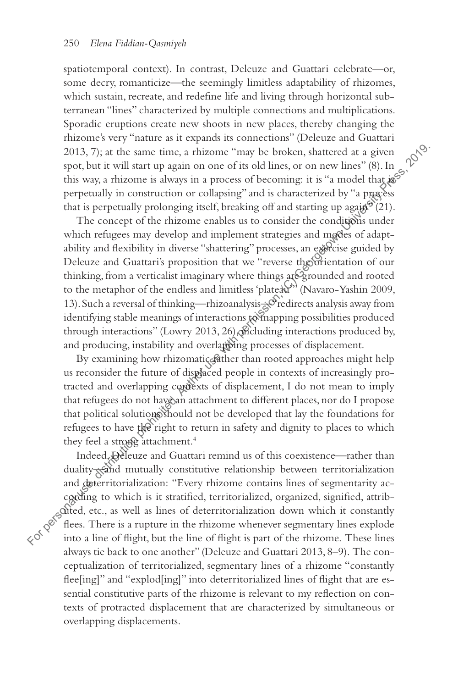spatiotemporal context). In contrast, Deleuze and Guattari celebrate—or, some decry, romanticize—the seemingly limitless adaptability of rhizomes, which sustain, recreate, and redefine life and living through horizontal subterranean "lines" characterized by multiple connections and multiplications. Sporadic eruptions create new shoots in new places, thereby changing the rhizome's very "nature as it expands its connections" (Deleuze and Guattari 2013, 7); at the same time, a rhizome "may be broken, shattered at a given spot, but it will start up again on one of its old lines, or on new lines" (8). In this way, a rhizome is always in a process of becoming: it is "a model that  $\frac{1}{2}$ perpetually in construction or collapsing" and is characterized by "a process that is perpetually prolonging itself, breaking off and starting up again<sup>9</sup> (21).

The concept of the rhizome enables us to consider the conditions under which refugees may develop and implement strategies and modes of adaptability and flexibility in diverse "shattering" processes, an exercise guided by Deleuze and Guattari's proposition that we "reverse the orientation of our thinking, from a verticalist imaginary where things are grounded and rooted to the metaphor of the endless and limitless 'plateau'" (Navaro-Yashin 2009, 13). Such a reversal of thinking—rhizoanalysis— redirects analysis away from identifying stable meanings of interactions to mapping possibilities produced through interactions" (Lowry 2013, 26), chicluding interactions produced by, and producing, instability and overlapping processes of displacement. 2013, 7); at the same time, a rhizome "may be broken, shattered at a given sort, but it will start up again on one of its old lines, or on new lines" (8). In gybs this way, a rhizome is always in a process of becoming: it

By examining how rhizomatic father than rooted approaches might help us reconsider the future of displaced people in contexts of increasingly protracted and overlapping contexts of displacement, I do not mean to imply that refugees do not have an attachment to different places, nor do I propose that political solutions should not be developed that lay the foundations for refugees to have the right to return in safety and dignity to places to which they feel a strong attachment.<sup>4</sup>

Indeed, Deleuze and Guattari remind us of this coexistence—rather than duality and mutually constitutive relationship between territorialization and deterritorialization: "Every rhizome contains lines of segmentarity according to which is it stratified, territorialized, organized, signified, attributed, etc., as well as lines of deterritorialization down which it constantly flees. There is a rupture in the rhizome whenever segmentary lines explode always tie back to one another" (Deleuze and Guattari 2013, 8–9). The conceptualization of territorialized, segmentary lines of a rhizome "constantly flee[ing]" and "explod[ing]" into deterritorialized lines of flight that are essential constitutive parts of the rhizome is relevant to my reflection on contexts of protracted displacement that are characterized by simultaneous or overlapping displacements.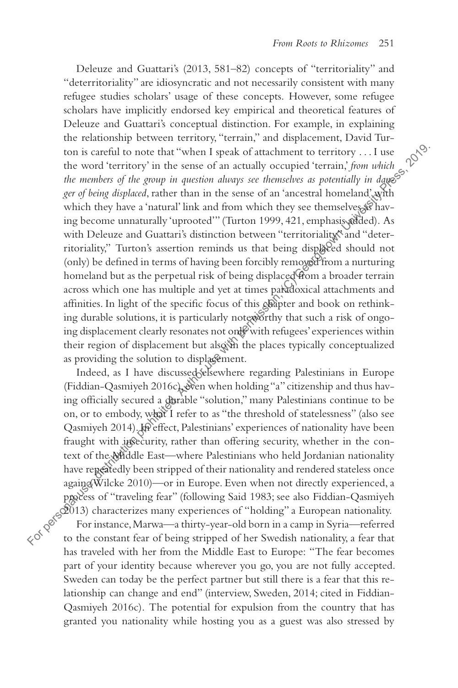Deleuze and Guattari's (2013, 581–82) concepts of "territoriality" and "deterritoriality" are idiosyncratic and not necessarily consistent with many refugee studies scholars' usage of these concepts. However, some refugee scholars have implicitly endorsed key empirical and theoretical features of Deleuze and Guattari's conceptual distinction. For example, in explaining the relationship between territory, "terrain," and displacement, David Turton is careful to note that "when I speak of attachment to territory . . . I use the word 'territory' in the sense of an actually occupied 'terrain,' *from which*  the members of the group in question always see themselves as potentially in dang<sup>5</sup> *ger of being displaced*, rather than in the sense of an 'ancestral homeland' with which they have a 'natural' link and from which they see themselves as having become unnaturally 'uprooted'" (Turton 1999, 421, emphasis added). As with Deleuze and Guattari's distinction between "territoriality" and "deterritoriality," Turton's assertion reminds us that being displaced should not (only) be defined in terms of having been forcibly removed from a nurturing homeland but as the perpetual risk of being displaced from a broader terrain across which one has multiple and yet at times paradoxical attachments and affinities. In light of the specific focus of this chapter and book on rethinking durable solutions, it is particularly noteworthy that such a risk of ongoing displacement clearly resonates not only with refugees' experiences within their region of displacement but also in the places typically conceptualized as providing the solution to displagement. ton is careful to note that "when I speak of attachment to territory ... I use<br>the word 'territory' in the sense of an actually occupied 'terrari, from which  $\gamma$ <br>for members of the group in question always see the<br>masker

Indeed, as I have discussed elsewhere regarding Palestinians in Europe (Fiddian-Qasmiyeh 2016c), even when holding "a" citizenship and thus having officially secured a durable "solution," many Palestinians continue to be on, or to embody, what I refer to as "the threshold of statelessness" (also see Qasmiyeh 2014). In effect, Palestinians' experiences of nationality have been fraught with insecurity, rather than offering security, whether in the context of the Widdle East-where Palestinians who held Jordanian nationality have repeatedly been stripped of their nationality and rendered stateless once againd Wilcke 2010)—or in Europe. Even when not directly experienced, a process of "traveling fear" (following Said 1983; see also Fiddian-Qasmiyeh 2013) characterizes many experiences of "holding" a European nationality.

For instance, Marwa—a thirty-year-old born in a camp in Syria—referred to the constant fear of being stripped of her Swedish nationality, a fear that has traveled with her from the Middle East to Europe: "The fear becomes part of your identity because wherever you go, you are not fully accepted. Sweden can today be the perfect partner but still there is a fear that this relationship can change and end" (interview, Sweden, 2014; cited in Fiddian-Qasmiyeh 2016c). The potential for expulsion from the country that has granted you nationality while hosting you as a guest was also stressed by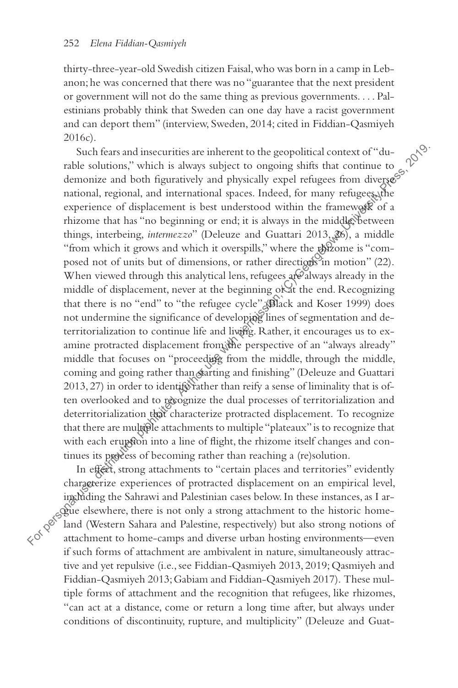thirty-three-year-old Swedish citizen Faisal, who was born in a camp in Lebanon; he was concerned that there was no "guarantee that the next president or government will not do the same thing as previous governments. . . . Palestinians probably think that Sweden can one day have a racist government and can deport them" (interview, Sweden, 2014; cited in Fiddian-Qasmiyeh 2016c).

Such fears and insecurities are inherent to the geopolitical context of "durable solutions," which is always subject to ongoing shifts that continue to demonize and both figuratively and physically expel refugees from diverse  $\mathcal{S}$ national, regional, and international spaces. Indeed, for many refugees, the experience of displacement is best understood within the framework of a rhizome that has "no beginning or end; it is always in the middle, between things, interbeing, *intermezzo*" (Deleuze and Guattari 2013, 26), a middle "from which it grows and which it overspills," where the rhizome is "composed not of units but of dimensions, or rather directions in motion"  $(22)$ . When viewed through this analytical lens, refugees are always already in the middle of displacement, never at the beginning or at the end. Recognizing that there is no "end" to "the refugee cycle" (Black and Koser 1999) does not undermine the significance of developing lines of segmentation and deterritorialization to continue life and living. Rather, it encourages us to examine protracted displacement from the perspective of an "always already" middle that focuses on "proceeding from the middle, through the middle, coming and going rather than starting and finishing" (Deleuze and Guattari  $2013, 27$ ) in order to identify rather than reify a sense of liminality that is often overlooked and to recognize the dual processes of territorialization and deterritorialization that characterize protracted displacement. To recognize that there are multiple attachments to multiple "plateaux" is to recognize that with each eruption into a line of flight, the rhizome itself changes and continues its process of becoming rather than reaching a (re)solution. Such fears and insecurities are inherent to the geopolitical context of<br>"ahol solutions," which is always subject to ongoing shifts that continue to<br>granional, regional, and international spaces. Indeed, for many refuge<br>e

In effect, strong attachments to "certain places and territories" evidently characterize experiences of protracted displacement on an empirical level, including the Sahrawi and Palestinian cases below. In these instances, as I argue elsewhere, there is not only a strong attachment to the historic homeland (Western Sahara and Palestine, respectively) but also strong notions of if such forms of attachment are ambivalent in nature, simultaneously attractive and yet repulsive (i.e., see Fiddian-Qasmiyeh 2013, 2019; Qasmiyeh and Fiddian-Qasmiyeh 2013; Gabiam and Fiddian-Qasmiyeh 2017). These multiple forms of attachment and the recognition that refugees, like rhizomes, "can act at a distance, come or return a long time after, but always under conditions of discontinuity, rupture, and multiplicity" (Deleuze and Guat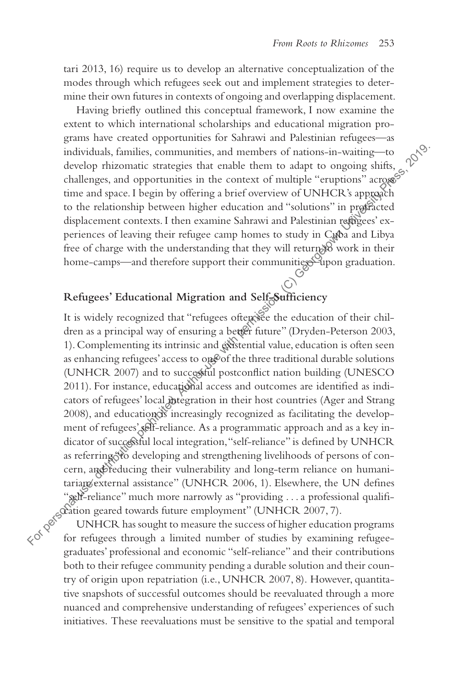tari 2013, 16) require us to develop an alternative conceptualization of the modes through which refugees seek out and implement strategies to determine their own futures in contexts of ongoing and overlapping displacement.

Having briefly outlined this conceptual framework, I now examine the extent to which international scholarships and educational migration programs have created opportunities for Sahrawi and Palestinian refugees—as individuals, families, communities, and members of nations-in-waiting—to develop rhizomatic strategies that enable them to adapt to ongoing shifts, challenges, and opportunities in the context of multiple "eruptions" across time and space. I begin by offering a brief overview of UNHCR's approach to the relationship between higher education and "solutions" in protracted displacement contexts. I then examine Sahrawi and Palestinian refugees' experiences of leaving their refugee camp homes to study in Cuba and Libya free of charge with the understanding that they will return  $\mathcal{B}$  work in their home-camps—and therefore support their communities upon graduation.

### **Refugees' Educational Migration and Self-Sufficiency**

It is widely recognized that "refugees often see the education of their children as a principal way of ensuring a better future" (Dryden-Peterson 2003, 1). Complementing its intrinsic and existential value, education is often seen as enhancing refugees' access to one of the three traditional durable solutions (UNHCR 2007) and to successful postconflict nation building (UNESCO 2011). For instance, educational access and outcomes are identified as indicators of refugees' local integration in their host countries (Ager and Strang 2008), and education is increasingly recognized as facilitating the development of refugees' self-reliance. As a programmatic approach and as a key indicator of successful local integration, "self-reliance" is defined by UNHCR as referring "to developing and strengthening livelihoods of persons of concern, and reducing their vulnerability and long-term reliance on humanitarian/external assistance" (UNHCR 2006, 1). Elsewhere, the UN defines "self-reliance" much more narrowly as "providing . . .a professional qualification geared towards future employment" (UNHCR 2007, 7). individuals, families, communities, and members of nations-in-waiting—to<br>develop this<br>comation stategies that enable them to add<br>pto challenges, and opportunities in the context of multiple "eruptions" argo<br>gostime and sp

UNHCR has sought to measure the success of higher education programs for refugees through a limited number of studies by examining refugeegraduates' professional and economic "self-reliance" and their contributions both to their refugee community pending a durable solution and their country of origin upon repatriation (i.e., UNHCR 2007, 8). However, quantitative snapshots of successful outcomes should be reevaluated through a more nuanced and comprehensive understanding of refugees' experiences of such initiatives. These reevaluations must be sensitive to the spatial and temporal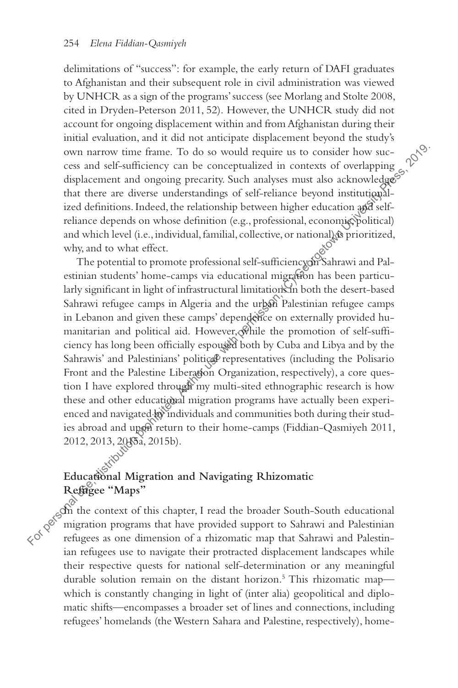delimitations of "success": for example, the early return of DAFI graduates to Afghanistan and their subsequent role in civil administration was viewed by UNHCR as a sign of the programs' success (see Morlang and Stolte 2008, cited in Dryden-Peterson 2011, 52). However, the UNHCR study did not account for ongoing displacement within and from Afghanistan during their initial evaluation, and it did not anticipate displacement beyond the study's own narrow time frame. To do so would require us to consider how success and self-sufficiency can be conceptualized in contexts of overlapping displacement and ongoing precarity. Such analyses must also acknowledges that there are diverse understandings of self-reliance beyond institutionalized definitions. Indeed, the relationship between higher education and selfreliance depends on whose definition (e.g., professional, economic, political) and which level (i.e., individual, familial, collective, or national) is prioritized, why, and to what effect.

The potential to promote professional self-sufficiency on Sahrawi and Palestinian students' home-camps via educational migration has been particularly significant in light of infrastructural limitations in both the desert-based Sahrawi refugee camps in Algeria and the urban Palestinian refugee camps in Lebanon and given these camps' dependence on externally provided humanitarian and political aid. However, while the promotion of self-sufficiency has long been officially espoused both by Cuba and Libya and by the Sahrawis' and Palestinians' political representatives (including the Polisario Front and the Palestine Liberation Organization, respectively), a core question I have explored through my multi-sited ethnographic research is how these and other educational migration programs have actually been experienced and navigated by individuals and communities both during their studies abroad and upon return to their home-camps (Fiddian-Qasmiyeh 2011, 2012, 2013, 2015a, 2015b). own narrow time frame. To do so would require us to consider how success as one dimension is concerpualized in concercuations. Indeed, the relationship between the stributions in the relation of a relationship between inde

#### **Educational Migration and Navigating Rhizomatic Refugee "Maps"**

In the context of this chapter, I read the broader South-South educational migration programs that have provided support to Sahrawi and Palestinian ian refugees use to navigate their protracted displacement landscapes while their respective quests for national self-determination or any meaningful durable solution remain on the distant horizon.<sup>5</sup> This rhizomatic mapwhich is constantly changing in light of (inter alia) geopolitical and diplomatic shifts—encompasses a broader set of lines and connections, including refugees' homelands (the Western Sahara and Palestine, respectively), home-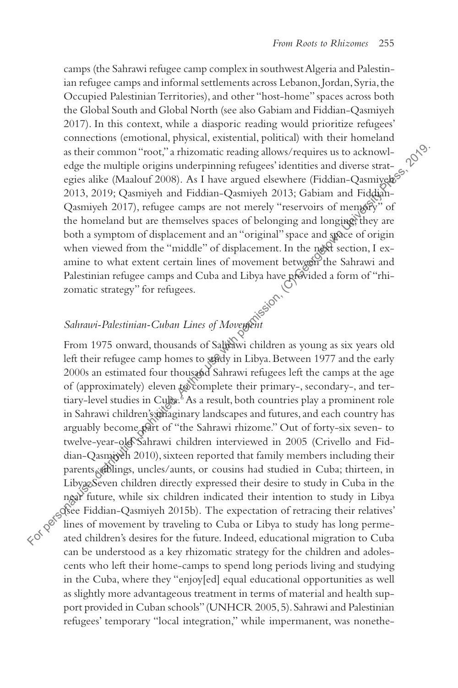camps (the Sahrawi refugee camp complex in southwest Algeria and Palestinian refugee camps and informal settlements across Lebanon, Jordan, Syria, the Occupied Palestinian Territories), and other "host-home" spaces across both the Global South and Global North (see also Gabiam and Fiddian-Qasmiyeh 2017). In this context, while a diasporic reading would prioritize refugees' connections (emotional, physical, existential, political) with their homeland as their common "root," a rhizomatic reading allows/requires us to acknowledge the multiple origins underpinning refugees' identities and diverse strategies alike (Maalouf 2008). As I have argued elsewhere (Fiddian-Qasmiyehos 2013, 2019; Qasmiyeh and Fiddian-Qasmiyeh 2013; Gabiam and Fiddian-Qasmiyeh 2017), refugee camps are not merely "reservoirs of memory" of the homeland but are themselves spaces of belonging and longing; they are both a symptom of displacement and an "original" space and space of origin when viewed from the "middle" of displacement. In the next section, I examine to what extent certain lines of movement between the Sahrawi and Palestinian refugee camps and Cuba and Libya have provided a form of "rhizomatic strategy" for refugees.

Sahrawi-Palestinian-Cuban Lines of Movement<br>From 1975 onward. thousand From 1975 onward, thousands of Sahrawi children as young as six years old left their refugee camp homes to study in Libya. Between 1977 and the early 2000s an estimated four thousand Sahrawi refugees left the camps at the age of (approximately) eleven to complete their primary-, secondary-, and tertiary-level studies in Cuba.<sup>8</sup> As a result, both countries play a prominent role in Sahrawi children's thaginary landscapes and futures, and each country has arguably become part of "the Sahrawi rhizome." Out of forty-six seven- to twelve-year-old Sahrawi children interviewed in 2005 (Crivello and Fiddian-Qasmiyeh 2010), sixteen reported that family members including their parents, siblings, uncles/aunts, or cousins had studied in Cuba; thirteen, in LibyaeSeven children directly expressed their desire to study in Cuba in the near future, while six children indicated their intention to study in Libya (see Fiddian-Qasmiyeh 2015b). The expectation of retracing their relatives' lines of movement by traveling to Cuba or Libya to study has long permeas their common "root," a rhizomatic reading allows/requires us to acknowledge the multiple origins underpinning refugees identities and diverse strate-<br>
egies alike (Maalour 2008). As I have argued elsewhere (Fiddian-Qas can be understood as a key rhizomatic strategy for the children and adolescents who left their home-camps to spend long periods living and studying in the Cuba, where they "enjoy[ed] equal educational opportunities as well as slightly more advantageous treatment in terms of material and health support provided in Cuban schools" (UNHCR 2005, 5). Sahrawi and Palestinian refugees' temporary "local integration," while impermanent, was nonethe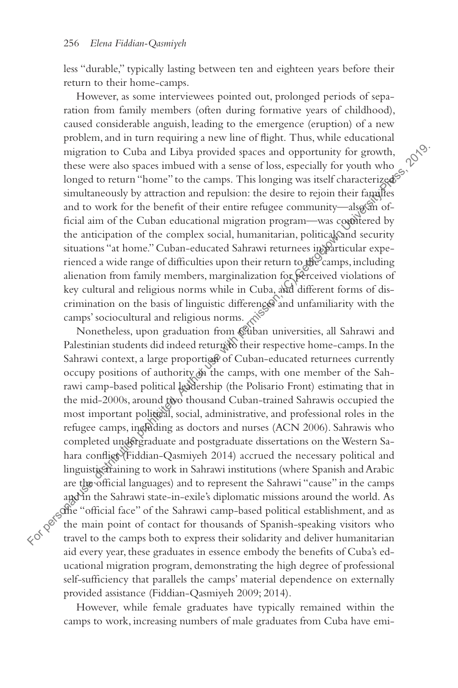less "durable," typically lasting between ten and eighteen years before their return to their home-camps.

However, as some interviewees pointed out, prolonged periods of separation from family members (often during formative years of childhood), caused considerable anguish, leading to the emergence (eruption) of a new problem, and in turn requiring a new line of flight. Thus, while educational migration to Cuba and Libya provided spaces and opportunity for growth, these were also spaces imbued with a sense of loss, especially for youth who longed to return "home" to the camps. This longing was itself characterized? simultaneously by attraction and repulsion: the desire to rejoin their families and to work for the benefit of their entire refugee community—also an official aim of the Cuban educational migration program—was countered by the anticipation of the complex social, humanitarian, political sand security situations "at home." Cuban-educated Sahrawi returnees in particular experienced a wide range of difficulties upon their return to the camps, including alienation from family members, marginalization for perceived violations of key cultural and religious norms while in Cuba, and different forms of discrimination on the basis of linguistic differences and unfamiliarity with the camps' sociocultural and religious norms.

Nonetheless, upon graduation from Cuban universities, all Sahrawi and Palestinian students did indeed return to their respective home-camps. In the Sahrawi context, a large proportion of Cuban-educated returnees currently occupy positions of authority on the camps, with one member of the Sahrawi camp-based political leadership (the Polisario Front) estimating that in the mid-2000s, around two thousand Cuban-trained Sahrawis occupied the most important political, social, administrative, and professional roles in the refugee camps, including as doctors and nurses (ACN 2006). Sahrawis who completed undergraduate and postgraduate dissertations on the Western Sahara conflict (Fiddian-Qasmiyeh 2014) accrued the necessary political and linguistic training to work in Sahrawi institutions (where Spanish and Arabic are the official languages) and to represent the Sahrawi "cause" in the camps and in the Sahrawi state-in-exile's diplomatic missions around the world. As the "official face" of the Sahrawi camp-based political establishment, and as the main point of contact for thousands of Spanish-speaking visitors who migration to Cuba and Libya provided spaces and opportunity for growth,<br>
these were also spaces in<br>both of a stence of loss, especially for youth volonged to return "home" to the camps. This longing was itself characteriz aid every year, these graduates in essence embody the benefits of Cuba's educational migration program, demonstrating the high degree of professional self-sufficiency that parallels the camps' material dependence on externally provided assistance (Fiddian-Qasmiyeh 2009; 2014).

However, while female graduates have typically remained within the camps to work, increasing numbers of male graduates from Cuba have emi-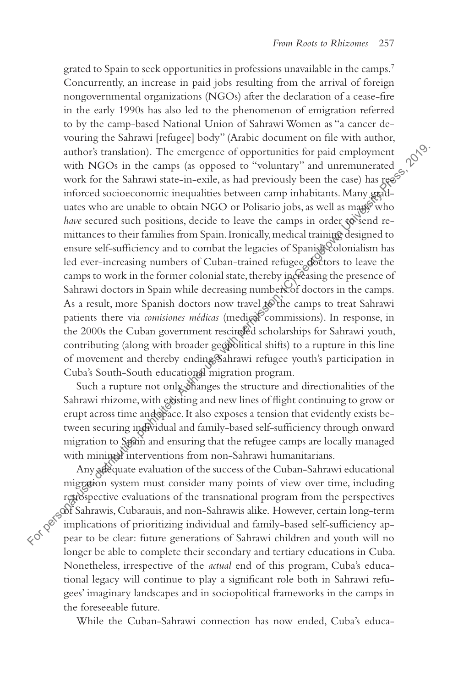grated to Spain to seek opportunities in professions unavailable in the camps.<sup>7</sup> Concurrently, an increase in paid jobs resulting from the arrival of foreign nongovernmental organizations (NGOs) after the declaration of a cease-fire in the early 1990s has also led to the phenomenon of emigration referred to by the camp-based National Union of Sahrawi Women as "a cancer devouring the Sahrawi [refugee] body" (Arabic document on file with author, author's translation). The emergence of opportunities for paid employment with NGOs in the camps (as opposed to "voluntary" and unremunerated work for the Sahrawi state-in-exile, as had previously been the case) has  $\text{reg}^S$ inforced socioeconomic inequalities between camp inhabitants. Many graduates who are unable to obtain NGO or Polisario jobs, as well as many who *have* secured such positions, decide to leave the camps in order to send remittances to their families from Spain. Ironically, medical training designed to ensure self-sufficiency and to combat the legacies of Spanish Colonialism has led ever-increasing numbers of Cuban-trained refugee doctors to leave the camps to work in the former colonial state, thereby increasing the presence of Sahrawi doctors in Spain while decreasing numbers of doctors in the camps. As a result, more Spanish doctors now travel  $\mathbb{R}^{\mathbb{C}}$  the camps to treat Sahrawi patients there via *comisiones médicas* (medical commissions). In response, in the 2000s the Cuban government rescinded scholarships for Sahrawi youth, contributing (along with broader geopolitical shifts) to a rupture in this line of movement and thereby ending Sahrawi refugee youth's participation in Cuba's South-South educational migration program. author's translation). The emergence of opportunities for paid employment<br>with NGOs in the camps (as opposed to "voluntary" and uncremucented<br>of vork for the Sahrawi state-in-exile, as had previously been the case) has get

Such a rupture not only changes the structure and directionalities of the Sahrawi rhizome, with existing and new lines of flight continuing to grow or erupt across time and space. It also exposes a tension that evidently exists between securing individual and family-based self-sufficiency through onward migration to Spain and ensuring that the refugee camps are locally managed with minimal interventions from non-Sahrawi humanitarians.

Any adequate evaluation of the success of the Cuban-Sahrawi educational migration system must consider many points of view over time, including retrospective evaluations of the transnational program from the perspectives of Sahrawis, Cubarauis, and non-Sahrawis alike. However, certain long-term implications of prioritizing individual and family-based self-sufficiency aplonger be able to complete their secondary and tertiary educations in Cuba. Nonetheless, irrespective of the *actual* end of this program, Cuba's educational legacy will continue to play a significant role both in Sahrawi refugees' imaginary landscapes and in sociopolitical frameworks in the camps in the foreseeable future.

While the Cuban-Sahrawi connection has now ended, Cuba's educa-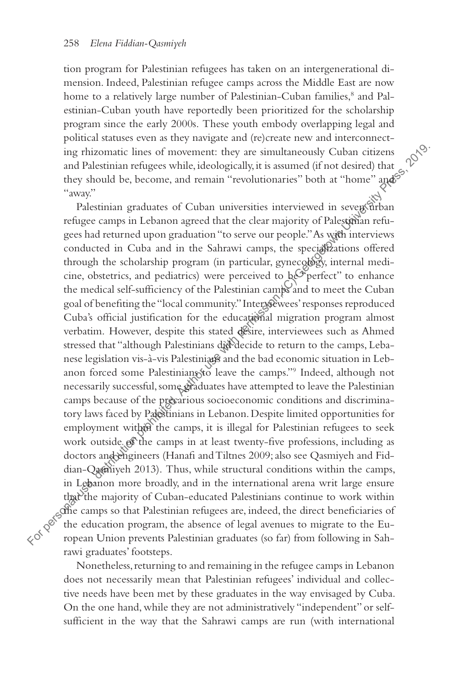tion program for Palestinian refugees has taken on an intergenerational dimension. Indeed, Palestinian refugee camps across the Middle East are now home to a relatively large number of Palestinian-Cuban families,<sup>8</sup> and Palestinian-Cuban youth have reportedly been prioritized for the scholarship program since the early 2000s. These youth embody overlapping legal and political statuses even as they navigate and (re)create new and interconnecting rhizomatic lines of movement: they are simultaneously Cuban citizens and Palestinian refugees while, ideologically, it is assumed (if not desired) that they should be, become, and remain "revolutionaries" both at "home" and "away."

Palestinian graduates of Cuban universities interviewed in seven urban refugee camps in Lebanon agreed that the clear majority of Palestinian refugees had returned upon graduation "to serve our people." As with interviews conducted in Cuba and in the Sahrawi camps, the specializations offered through the scholarship program (in particular, gynecology, internal medicine, obstetrics, and pediatrics) were perceived to  $\frac{1}{2}e^{i\theta}$  perfect" to enhance the medical self-sufficiency of the Palestinian camps and to meet the Cuban goal of benefiting the "local community." Intervewees' responses reproduced Cuba's official justification for the educational migration program almost verbatim. However, despite this stated desire, interviewees such as Ahmed stressed that "although Palestinians did decide to return to the camps, Lebanese legislation vis-à-vis Palestinians and the bad economic situation in Lebanon forced some Palestinians to leave the camps."<sup>9</sup> Indeed, although not necessarily successful, some graduates have attempted to leave the Palestinian camps because of the precarious socioeconomic conditions and discriminatory laws faced by Palestinians in Lebanon. Despite limited opportunities for employment within the camps, it is illegal for Palestinian refugees to seek work outside of the camps in at least twenty-five professions, including as doctors and engineers (Hanafi and Tiltnes 2009; also see Qasmiyeh and Fiddian-Qasmiyeh 2013). Thus, while structural conditions within the camps, in Lebanon more broadly, and in the international arena writ large ensure that the majority of Cuban-educated Palestinians continue to work within es the camps so that Palestinian refugees are, indeed, the direct beneficiaries of the education program, the absence of legal avenues to migrate to the European Union prevents Palestinian graduates (so far) from following in Sahrawi graduates' footsteps. ing rhizomatic lines of movement: they are simultaneously Cuban citizens<br>and Palestinian refugees while, ideologically, it is assumed (if not desired) that "shown"<br>"away" they should be, become, and remain "revolutionarie

Nonetheless, returning to and remaining in the refugee camps in Lebanon does not necessarily mean that Palestinian refugees' individual and collective needs have been met by these graduates in the way envisaged by Cuba. On the one hand, while they are not administratively "independent" or selfsufficient in the way that the Sahrawi camps are run (with international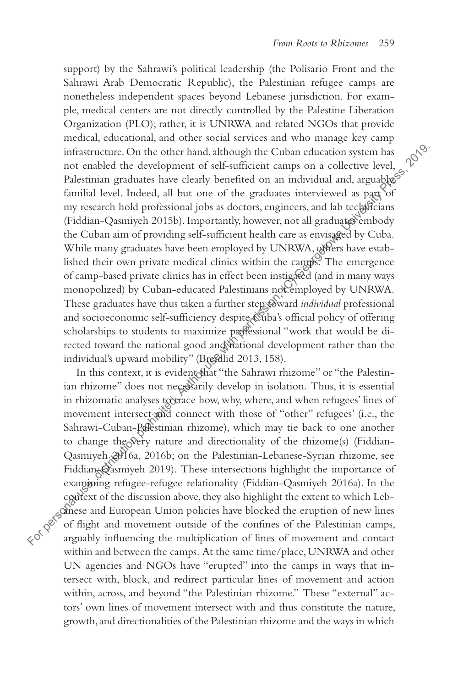support) by the Sahrawi's political leadership (the Polisario Front and the Sahrawi Arab Democratic Republic), the Palestinian refugee camps are nonetheless independent spaces beyond Lebanese jurisdiction. For example, medical centers are not directly controlled by the Palestine Liberation Organization (PLO); rather, it is UNRWA and related NGOs that provide medical, educational, and other social services and who manage key camp infrastructure. On the other hand, although the Cuban education system has not enabled the development of self-sufficient camps on a collective level, Palestinian graduates have clearly benefited on an individual and, arguably, $\mathcal{S}$ familial level. Indeed, all but one of the graduates interviewed as part of my research hold professional jobs as doctors, engineers, and lab technicians (Fiddian-Qasmiyeh 2015b). Importantly, however, not all graduates embody the Cuban aim of providing self-sufficient health care as envisaged by Cuba. While many graduates have been employed by UNRWA, others have established their own private medical clinics within the camps. The emergence of camp-based private clinics has in effect been instigated (and in many ways monopolized) by Cuban-educated Palestinians not employed by UNRWA. These graduates have thus taken a further step toward *individual* professional and socioeconomic self-sufficiency despite Cuba's official policy of offering scholarships to students to maximize professional "work that would be directed toward the national good and national development rather than the individual's upward mobility" (Brefdlid 2013, 158). infrastructure. On the other hand, although the Cuban education system has no conclude the dvevelopment of self-sufficient camps on a collective level, position allow the parameters interviewed as party of my research hol

In this context, it is evident that "the Sahrawi rhizome" or "the Palestinian rhizome" does not necessarily develop in isolation. Thus, it is essential in rhizomatic analyses to trace how, why, where, and when refugees' lines of movement intersect and connect with those of "other" refugees' (i.e., the Sahrawi-Cuban-Palestinian rhizome), which may tie back to one another to change the very nature and directionality of the rhizome(s) (Fiddian-Qasmiyeh 2016a, 2016b; on the Palestinian-Lebanese-Syrian rhizome, see Fiddian-Qasmiyeh 2019). These intersections highlight the importance of exampioning refugee-refugee relationality (Fiddian-Qasmiyeh 2016a). In the examining refugee-refugee relationality (Fiddian-Qasmiyeh 2016a). In the context of the discussion above, they also highlight the extent to which Lebanese and European Union policies have blocked the eruption of new lines of flight and movement outside of the confines of the Palestinian camps, within and between the camps. At the same time/place, UNRWA and other UN agencies and NGOs have "erupted" into the camps in ways that intersect with, block, and redirect particular lines of movement and action within, across, and beyond "the Palestinian rhizome." These "external" actors' own lines of movement intersect with and thus constitute the nature, growth, and directionalities of the Palestinian rhizome and the ways in which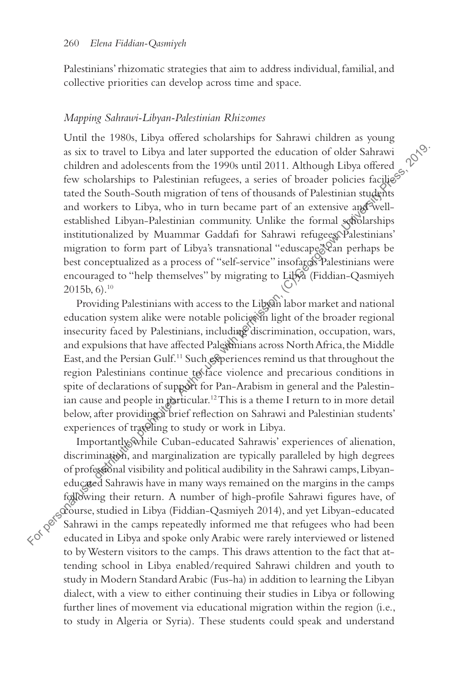Palestinians' rhizomatic strategies that aim to address individual, familial, and collective priorities can develop across time and space.

#### *Mapping Sahrawi-Libyan-Palestinian Rhizomes*

Until the 1980s, Libya offered scholarships for Sahrawi children as young as six to travel to Libya and later supported the education of older Sahrawi children and adolescents from the 1990s until 2011. Although Libya offered few scholarships to Palestinian refugees, a series of broader policies facilies tated the South-South migration of tens of thousands of Palestinian students and workers to Libya, who in turn became part of an extensive and wellestablished Libyan-Palestinian community. Unlike the formal scholarships institutionalized by Muammar Gaddafi for Sahrawi refugees, Palestinians' migration to form part of Libya's transnational "eduscape" Can perhaps be best conceptualized as a process of "self-service" insofarcs Palestinians were encouraged to "help themselves" by migrating to Libya (Fiddian-Qasmiyeh  $2015b, 6$ .<sup>10</sup> as six to travel to Libya and later supported the education of older Sahravic children and adelescents from the 1990s unril 2011. Although Libya offreed gives the South South migration of tens of housands of Palestinian st

Providing Palestinians with access to the Libyan labor market and national education system alike were notable policies in light of the broader regional insecurity faced by Palestinians, including discrimination, occupation, wars, and expulsions that have affected Palestinians across North Africa, the Middle East, and the Persian Gulf.<sup>11</sup> Such experiences remind us that throughout the region Palestinians continue to face violence and precarious conditions in spite of declarations of support for Pan-Arabism in general and the Palestinian cause and people in particular.<sup>12</sup> This is a theme I return to in more detail below, after providing a brief reflection on Sahrawi and Palestinian students' experiences of traveling to study or work in Libya.

Importantly, while Cuban-educated Sahrawis' experiences of alienation, discrimination, and marginalization are typically paralleled by high degrees of professional visibility and political audibility in the Sahrawi camps, Libyaneducated Sahrawis have in many ways remained on the margins in the camps following their return. A number of high-profile Sahrawi figures have, of course, studied in Libya (Fiddian-Qasmiyeh 2014), and yet Libyan-educated Sahrawi in the camps repeatedly informed me that refugees who had been to by Western visitors to the camps. This draws attention to the fact that attending school in Libya enabled/required Sahrawi children and youth to study in Modern Standard Arabic (Fus-ha) in addition to learning the Libyan dialect, with a view to either continuing their studies in Libya or following further lines of movement via educational migration within the region (i.e., to study in Algeria or Syria). These students could speak and understand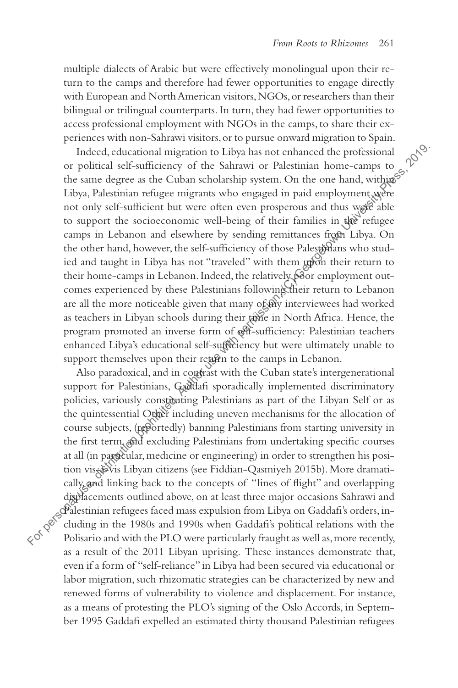multiple dialects of Arabic but were effectively monolingual upon their return to the camps and therefore had fewer opportunities to engage directly with European and North American visitors, NGOs, or researchers than their bilingual or trilingual counterparts. In turn, they had fewer opportunities to access professional employment with NGOs in the camps, to share their experiences with non-Sahrawi visitors, or to pursue onward migration to Spain.

Indeed, educational migration to Libya has not enhanced the professional or political self-sufficiency of the Sahrawi or Palestinian home-camps to the same degree as the Cuban scholarship system. On the one hand, within  $\mathcal{S}^{\mathcal{S}}$ Libya, Palestinian refugee migrants who engaged in paid employment were not only self-sufficient but were often even prosperous and thus were able to support the socioeconomic well-being of their families in the refugee camps in Lebanon and elsewhere by sending remittances from Libya. On the other hand, however, the self-sufficiency of those Palestinians who studied and taught in Libya has not "traveled" with them upon their return to their home-camps in Lebanon. Indeed, the relatively poor employment outcomes experienced by these Palestinians following their return to Lebanon are all the more noticeable given that many of wy interviewees had worked as teachers in Libyan schools during their tone in North Africa. Hence, the program promoted an inverse form of self-sufficiency: Palestinian teachers enhanced Libya's educational self-sufficiency but were ultimately unable to support themselves upon their return to the camps in Lebanon. Indeed, educational migration to Libya has not enhanced the professional<br>or politicular seffects of the Sahrawi or Palestinian home-camps to<br>the same degree as the Cuban scholarship system. On the one hand, with<br>ges Libya

Also paradoxical, and in condrast with the Cuban state's intergenerational support for Palestinians, Gaddafi sporadically implemented discriminatory policies, variously constituting Palestinians as part of the Libyan Self or as the quintessential Other including uneven mechanisms for the allocation of course subjects, (reportedly) banning Palestinians from starting university in the first term, and excluding Palestinians from undertaking specific courses at all (in particular, medicine or engineering) in order to strengthen his position vis-à-vis Libyan citizens (see Fiddian-Qasmiyeh 2015b). More dramatically, and linking back to the concepts of "lines of flight" and overlapping displacements outlined above, on at least three major occasions Sahrawi and Palestinian refugees faced mass expulsion from Libya on Gaddafi's orders, including in the 1980s and 1990s when Gaddafi's political relations with the as a result of the 2011 Libyan uprising. These instances demonstrate that, even if a form of "self-reliance" in Libya had been secured via educational or labor migration, such rhizomatic strategies can be characterized by new and renewed forms of vulnerability to violence and displacement. For instance, as a means of protesting the PLO's signing of the Oslo Accords, in September 1995 Gaddafi expelled an estimated thirty thousand Palestinian refugees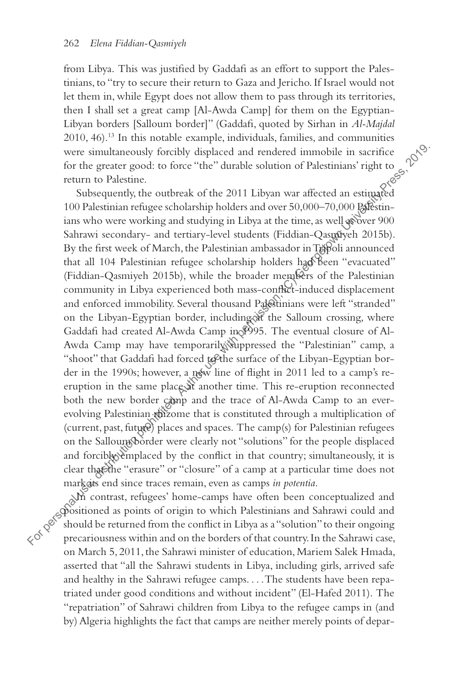from Libya. This was justified by Gaddafi as an effort to support the Palestinians, to "try to secure their return to Gaza and Jericho. If Israel would not let them in, while Egypt does not allow them to pass through its territories, then I shall set a great camp [Al-Awda Camp] for them on the Egyptian-Libyan borders [Salloum border]" (Gaddafi, quoted by Sirhan in *Al-Majdal* 2010, 46).<sup>13</sup> In this notable example, individuals, families, and communities were simultaneously forcibly displaced and rendered immobile in sacrifice for the greater good: to force "the" durable solution of Palestinian were simultaneously forcibly displaced and rendered immobile in sacrifice for the greater good: to force "the" durable solution of Palestinians' right to return to Palestine.

Subsequently, the outbreak of the 2011 Libyan war affected an estimated 100 Palestinian refugee scholarship holders and over 50,000–70,000 Palestinians who were working and studying in Libya at the time, as well as over 900 Sahrawi secondary- and tertiary-level students (Fiddian-Qasmiyeh 2015b). By the first week of March, the Palestinian ambassador in Tripoli announced that all 104 Palestinian refugee scholarship holders had been "evacuated" (Fiddian-Qasmiyeh 2015b), while the broader members of the Palestinian community in Libya experienced both mass-conflict-induced displacement and enforced immobility. Several thousand Palestinians were left "stranded" on the Libyan-Egyptian border, including at the Salloum crossing, where Gaddafi had created Al-Awda Camp in 1995. The eventual closure of Al-Awda Camp may have temporarily suppressed the "Palestinian" camp, a "shoot" that Gaddafi had forced to the surface of the Libyan-Egyptian border in the 1990s; however, a new line of flight in 2011 led to a camp's reeruption in the same place at another time. This re-eruption reconnected both the new border camp and the trace of Al-Awda Camp to an everevolving Palestinian rhizome that is constituted through a multiplication of (current, past, future) places and spaces. The camp(s) for Palestinian refugees on the Salloum border were clearly not "solutions" for the people displaced and forcibly emplaced by the conflict in that country; simultaneously, it is clear that the "erasure" or "closure" of a camp at a particular time does not mark ats end since traces remain, even as camps *in potentia*. were simultaneously forcibly displaced and rendered immobile in sacrifice<br>for the gracine good: to force "the" durable solution of Palestinians' right to<br>The return to Palestinian refugee scholarship holders and owe 5.0,0

In contrast, refugees' home-camps have often been conceptualized and positioned as points of origin to which Palestinians and Sahrawi could and should be returned from the conflict in Libya as a "solution" to their ongoing on March 5, 2011, the Sahrawi minister of education, Mariem Salek Hmada, asserted that "all the Sahrawi students in Libya, including girls, arrived safe and healthy in the Sahrawi refugee camps. . . .The students have been repatriated under good conditions and without incident" (El-Hafed 2011). The "repatriation" of Sahrawi children from Libya to the refugee camps in (and by) Algeria highlights the fact that camps are neither merely points of depar-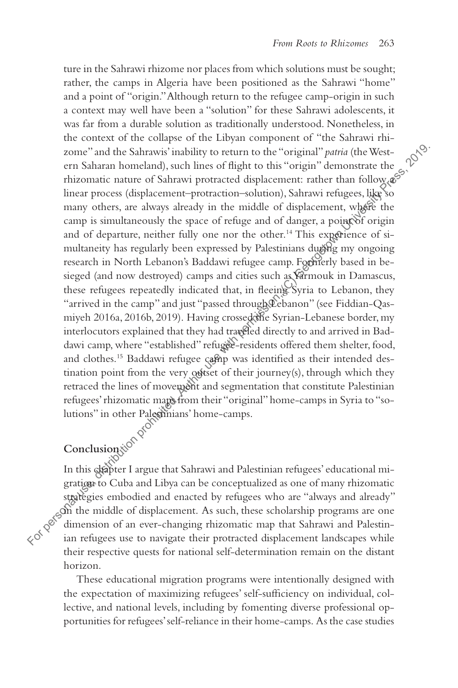ture in the Sahrawi rhizome nor places from which solutions must be sought; rather, the camps in Algeria have been positioned as the Sahrawi "home" and a point of "origin." Although return to the refugee camp-origin in such a context may well have been a "solution" for these Sahrawi adolescents, it was far from a durable solution as traditionally understood. Nonetheless, in the context of the collapse of the Libyan component of "the Sahrawi rhizome" and the Sahrawis' inability to return to the "original" *patria* (the Western Saharan homeland), such lines of flight to this "origin" demonstrate the rhizomatic nature of Sahrawi protracted displacement: rather than  $\bigcirc$  follow  $\mathscr{L}$ linear process (displacement–protraction–solution), Sahrawi refugees, like so many others, are always already in the middle of displacement, where the camp is simultaneously the space of refuge and of danger, a point of origin and of departure, neither fully one nor the other.<sup>14</sup> This experience of simultaneity has regularly been expressed by Palestinians during my ongoing research in North Lebanon's Baddawi refugee camp. Formerly based in besieged (and now destroyed) camps and cities such as Yarmouk in Damascus, these refugees repeatedly indicated that, in fleeing Syria to Lebanon, they "arrived in the camp" and just "passed through Lebanon" (see Fiddian-Qasmiyeh 2016a, 2016b, 2019). Having crossed the Syrian-Lebanese border, my interlocutors explained that they had traveled directly to and arrived in Baddawi camp, where "established" refugee-residents offered them shelter, food, and clothes.<sup>15</sup> Baddawi refugee camp was identified as their intended destination point from the very outset of their journey(s), through which they retraced the lines of movement and segmentation that constitute Palestinian refugees' rhizomatic maps from their "original" home-camps in Syria to "solutions" in other Palestinians' home-camps. zome" and the Sahrawis' imability to return to the "original" demonstrate the protracted the more of Sahrawi protracted displacement rather than follow  $\phi$ <br>finical monchands, anche in fight to this "origin" demonstrate t

Conclusion tion proper In this chapter I argue that Sahrawi and Palestinian refugees' educational migration to Cuba and Libya can be conceptualized as one of many rhizomatic strategies embodied and enacted by refugees who are "always and already" in the middle of displacement. As such, these scholarship programs are one dimension of an ever-changing rhizomatic map that Sahrawi and Palestintheir respective quests for national self-determination remain on the distant horizon.

These educational migration programs were intentionally designed with the expectation of maximizing refugees' self-sufficiency on individual, collective, and national levels, including by fomenting diverse professional opportunities for refugees' self-reliance in their home-camps. As the case studies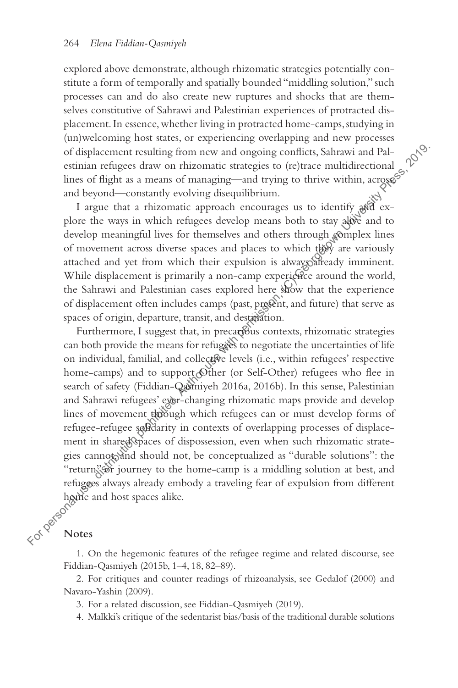explored above demonstrate, although rhizomatic strategies potentially constitute a form of temporally and spatially bounded "middling solution," such processes can and do also create new ruptures and shocks that are themselves constitutive of Sahrawi and Palestinian experiences of protracted displacement. In essence, whether living in protracted home-camps, studying in (un)welcoming host states, or experiencing overlapping and new processes of displacement resulting from new and ongoing conflicts, Sahrawi and Palestinian refugees draw on rhizomatic strategies to (re)trace multidirectional lines of flight as a means of managing—and trying to thrive within, across and beyond—constantly evolving disequilibrium.

I argue that a rhizomatic approach encourages us to identify and explore the ways in which refugees develop means both to stay alive and to develop meaningful lives for themselves and others through complex lines of movement across diverse spaces and places to which they are variously attached and yet from which their expulsion is always already imminent. While displacement is primarily a non-camp experience around the world, the Sahrawi and Palestinian cases explored here show that the experience of displacement often includes camps (past, present, and future) that serve as spaces of origin, departure, transit, and destination.

Furthermore, I suggest that, in precarious contexts, rhizomatic strategies can both provide the means for refugees to negotiate the uncertainties of life on individual, familial, and collective levels (i.e., within refugees' respective home-camps) and to support Other (or Self-Other) refugees who flee in search of safety (Fiddian-Qasmiyeh 2016a, 2016b). In this sense, Palestinian and Sahrawi refugees' eyer-changing rhizomatic maps provide and develop lines of movement through which refugees can or must develop forms of refugee-refugee solidarity in contexts of overlapping processes of displacement in shared spaces of dispossession, even when such rhizomatic strategies cannote and should not, be conceptualized as "durable solutions": the "return" or journey to the home-camp is a middling solution at best, and refugees always already embody a traveling fear of expulsion from different hame and host spaces alike.<br>  $\left(\sqrt{6}\right)^{\sqrt{6}}$  Notes of displacement resulting from new and ongoing conflicts, Sahrawi and Palestinian crises are on rhizonatic strategies to (re)<br>trace multidirectional complements are alternal uring to thrive within, a<br>regarding times of fl

#### **Notes**

1. On the hegemonic features of the refugee regime and related discourse, see Fiddian-Qasmiyeh (2015b, 1–4, 18, 82–89).

2. For critiques and counter readings of rhizoanalysis, see Gedalof (2000) and Navaro-Yashin (2009).

3. For a related discussion, see Fiddian-Qasmiyeh (2019).

4. Malkki's critique of the sedentarist bias/basis of the traditional durable solutions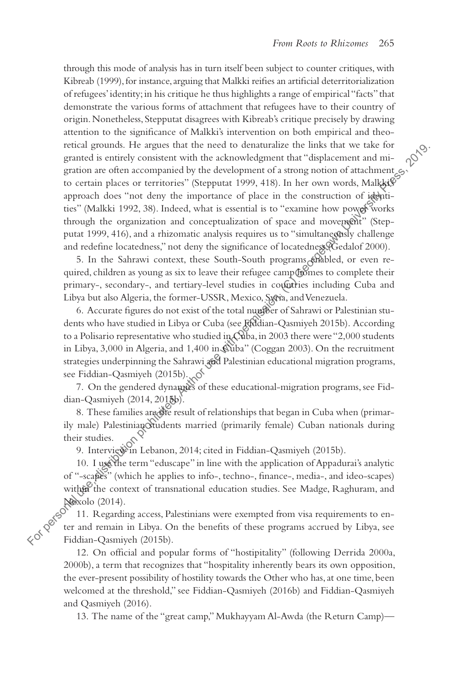through this mode of analysis has in turn itself been subject to counter critiques, with Kibreab (1999), for instance, arguing that Malkki reifies an artificial deterritorialization of refugees' identity; in his critique he thus highlights a range of empirical "facts" that demonstrate the various forms of attachment that refugees have to their country of origin. Nonetheless, Stepputat disagrees with Kibreab's critique precisely by drawing attention to the significance of Malkki's intervention on both empirical and theoretical grounds. He argues that the need to denaturalize the links that we take for granted is entirely consistent with the acknowledgment that "displacement and migration are often accompanied by the development of a strong notion of attachment  $\epsilon_2$ . to certain places or territories" (Stepputat 1999, 418). In her own words, Malkki $\mathcal{S}$ approach does "not deny the importance of place in the construction of identities" (Malkki 1992, 38). Indeed, what is essential is to "examine how power works through the organization and conceptualization of space and movement" (Stepputat 1999, 416), and a rhizomatic analysis requires us to "simultaneously challenge and redefine locatedness," not deny the significance of locatedness (Gedalof 2000). Frocal users are more of the coloring of Shape Content and the content of a strichy consistent with the acknowledgement that "displacement and migration are of the actomorphism by the development of a strong notion of att

5. In the Sahrawi context, these South-South programs shabled, or even required, children as young as six to leave their refugee camp homes to complete their primary-, secondary-, and tertiary-level studies in countries including Cuba and Libya but also Algeria, the former-USSR, Mexico, Syria, and Venezuela.

6. Accurate figures do not exist of the total number of Sahrawi or Palestinian students who have studied in Libya or Cuba (see Fiddian-Qasmiyeh 2015b). According to a Polisario representative who studied in Cuba, in 2003 there were "2,000 students in Libya, 3,000 in Algeria, and 1,400 in Cuba" (Coggan 2003). On the recruitment strategies underpinning the Sahrawi and Palestinian educational migration programs, see Fiddian-Qasmiyeh (2015b).

7. On the gendered dynamics of these educational-migration programs, see Fiddian-Qasmiyeh (2014, 2015b).

8. These families are the result of relationships that began in Cuba when (primarily male) Palestinian students married (primarily female) Cuban nationals during their studies.

9. Interview in Lebanon, 2014; cited in Fiddian-Qasmiyeh (2015b).

10. I use the term "eduscape" in line with the application of Appadurai's analytic of "-scapes" (which he applies to info-, techno-, finance-, media-, and ideo-scapes) within the context of transnational education studies. See Madge, Raghuram, and (w

11. Regarding access, Palestinians were exempted from visa requirements to enter and remain in Libya. On the benefits of these programs accrued by Libya, see Fiddian-Qasmiyeh (2015b).

12. On official and popular forms of "hostipitality" (following Derrida 2000a, 2000b), a term that recognizes that "hospitality inherently bears its own opposition, the ever-present possibility of hostility towards the Other who has, at one time, been welcomed at the threshold," see Fiddian-Qasmiyeh (2016b) and Fiddian-Qasmiyeh and Qasmiyeh (2016).

13. The name of the "great camp," Mukhayyam Al-Awda (the Return Camp)—